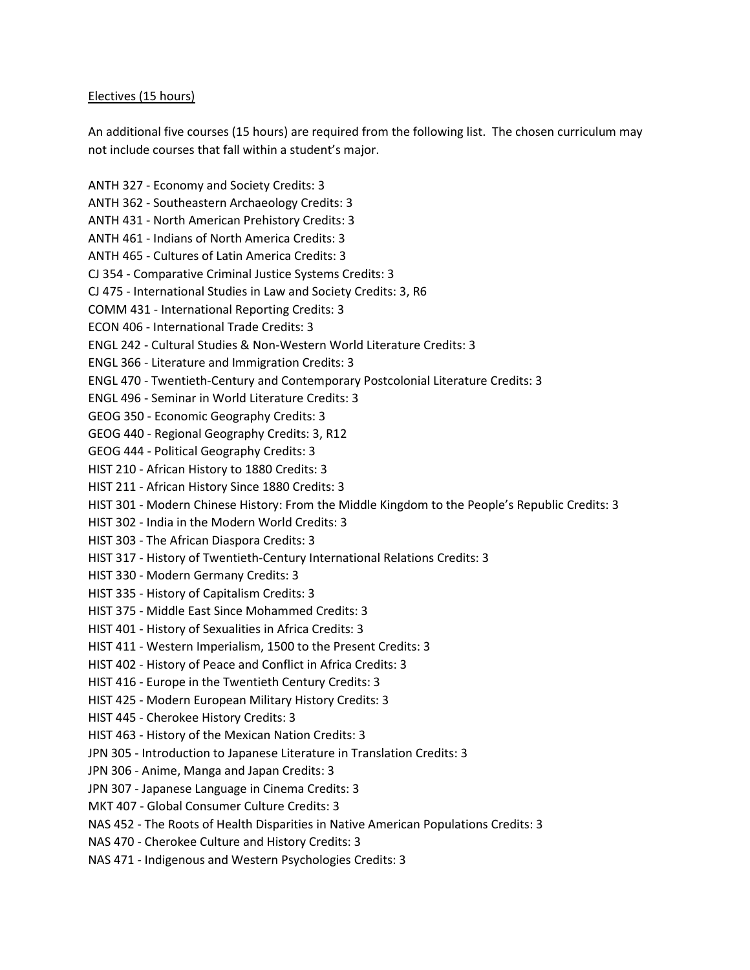## Electives (15 hours)

An additional five courses (15 hours) are required from the following list. The chosen curriculum may not include courses that fall within a student's major.

ANTH 327 - Economy and Society Credits: 3 ANTH 362 - Southeastern Archaeology Credits: 3 ANTH 431 - North American Prehistory Credits: 3 ANTH 461 - Indians of North America Credits: 3 ANTH 465 - Cultures of Latin America Credits: 3 CJ 354 - Comparative Criminal Justice Systems Credits: 3 CJ 475 - International Studies in Law and Society Credits: 3, R6 COMM 431 - International Reporting Credits: 3 ECON 406 - International Trade Credits: 3 ENGL 242 - Cultural Studies & Non-Western World Literature Credits: 3 ENGL 366 - Literature and Immigration Credits: 3 ENGL 470 - Twentieth-Century and Contemporary Postcolonial Literature Credits: 3 ENGL 496 - Seminar in World Literature Credits: 3 GEOG 350 - Economic Geography Credits: 3 GEOG 440 - Regional Geography Credits: 3, R12 GEOG 444 - Political Geography Credits: 3 HIST 210 - African History to 1880 Credits: 3 HIST 211 - African History Since 1880 Credits: 3 HIST 301 - Modern Chinese History: From the Middle Kingdom to the People's Republic Credits: 3 HIST 302 - India in the Modern World Credits: 3 HIST 303 - The African Diaspora Credits: 3 HIST 317 - History of Twentieth-Century International Relations Credits: 3 HIST 330 - Modern Germany Credits: 3 HIST 335 - History of Capitalism Credits: 3 HIST 375 - Middle East Since Mohammed Credits: 3 HIST 401 - History of Sexualities in Africa Credits: 3 HIST 411 - Western Imperialism, 1500 to the Present Credits: 3 HIST 402 - History of Peace and Conflict in Africa Credits: 3 HIST 416 - Europe in the Twentieth Century Credits: 3 HIST 425 - Modern European Military History Credits: 3 HIST 445 - Cherokee History Credits: 3 HIST 463 - History of the Mexican Nation Credits: 3 JPN 305 - Introduction to Japanese Literature in Translation Credits: 3 JPN 306 - Anime, Manga and Japan Credits: 3 JPN 307 - Japanese Language in Cinema Credits: 3 MKT 407 - Global Consumer Culture Credits: 3 NAS 452 - The Roots of Health Disparities in Native American Populations Credits: 3 NAS 470 - Cherokee Culture and History Credits: 3 NAS 471 - Indigenous and Western Psychologies Credits: 3